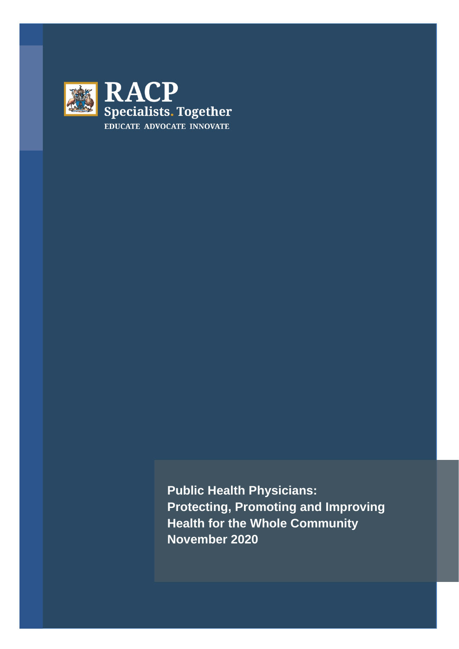

**Public Health Physicians: Protecting, Promoting and Improving Health for the Whole Community November 2020**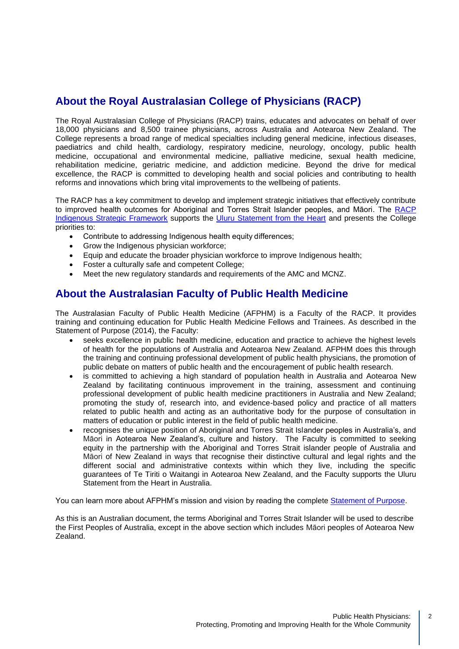## **About the Royal Australasian College of Physicians (RACP)**

The Royal Australasian College of Physicians (RACP) trains, educates and advocates on behalf of over 18,000 physicians and 8,500 trainee physicians, across Australia and Aotearoa New Zealand. The College represents a broad range of medical specialties including general medicine, infectious diseases, paediatrics and child health, cardiology, respiratory medicine, neurology, oncology, public health medicine, occupational and environmental medicine, palliative medicine, sexual health medicine, rehabilitation medicine, geriatric medicine, and addiction medicine. Beyond the drive for medical excellence, the RACP is committed to developing health and social policies and contributing to health reforms and innovations which bring vital improvements to the wellbeing of patients.

The RACP has a key commitment to develop and implement strategic initiatives that effectively contribute to improved health outcomes for Aboriginal and Torres Strait Islander peoples, and Māori. The [RACP](https://www.racp.edu.au/news-and-events/media-releases/racp-releases-indigenous-strategic-framework)  [Indigenous Strategic Framework](https://www.racp.edu.au/news-and-events/media-releases/racp-releases-indigenous-strategic-framework) supports the [Uluru Statement from the Heart](https://ulurustatement.org/) and presents the College priorities to:

- Contribute to addressing Indigenous health equity differences;
- Grow the Indigenous physician workforce;
- Equip and educate the broader physician workforce to improve Indigenous health;
- Foster a culturally safe and competent College;
- Meet the new regulatory standards and requirements of the AMC and MCNZ.

## **About the Australasian Faculty of Public Health Medicine**

The Australasian Faculty of Public Health Medicine (AFPHM) is a Faculty of the RACP. It provides training and continuing education for Public Health Medicine Fellows and Trainees. As described in the Statement of Purpose (2014), the Faculty:

- seeks excellence in public health medicine, education and practice to achieve the highest levels of health for the populations of Australia and Aotearoa New Zealand. AFPHM does this through the training and continuing professional development of public health physicians, the promotion of public debate on matters of public health and the encouragement of public health research.
- is committed to achieving a high standard of population health in Australia and Aotearoa New Zealand by facilitating continuous improvement in the training, assessment and continuing professional development of public health medicine practitioners in Australia and New Zealand; promoting the study of, research into, and evidence-based policy and practice of all matters related to public health and acting as an authoritative body for the purpose of consultation in matters of education or public interest in the field of public health medicine.
- recognises the unique position of Aboriginal and Torres Strait Islander peoples in Australia's, and Māori in Aotearoa New Zealand's, culture and history. The Faculty is committed to seeking equity in the partnership with the Aboriginal and Torres Strait islander people of Australia and Māori of New Zealand in ways that recognise their distinctive cultural and legal rights and the different social and administrative contexts within which they live, including the specific guarantees of Te Tiriti o Waitangi in Aotearoa New Zealand, and the Faculty supports the Uluru Statement from the Heart in Australia.

You can learn more about AFPHM's mission and vision by reading the complete [Statement of Purpose.](https://www.racp.edu.au/docs/default-source/default-document-library/afphm-statement-of-purpose.pdf?sfvrsn=433a2f1a_6)

As this is an Australian document, the terms Aboriginal and Torres Strait Islander will be used to describe the First Peoples of Australia, except in the above section which includes Māori peoples of Aotearoa New Zealand.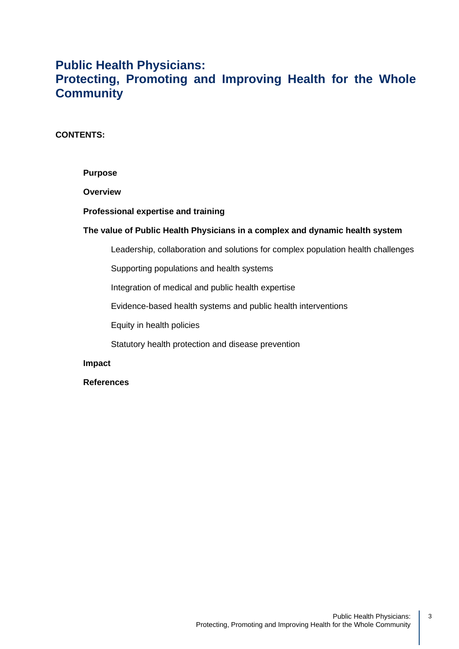## **Public Health Physicians: Protecting, Promoting and Improving Health for the Whole Community**

### **CONTENTS:**

#### **Purpose**

#### **Overview**

#### **Professional expertise and training**

#### **The value of Public Health Physicians in a complex and dynamic health system**

Leadership, collaboration and solutions for complex population health challenges

Supporting populations and health systems

Integration of medical and public health expertise

Evidence-based health systems and public health interventions

Equity in health policies

Statutory health protection and disease prevention

#### **Impact**

#### **References**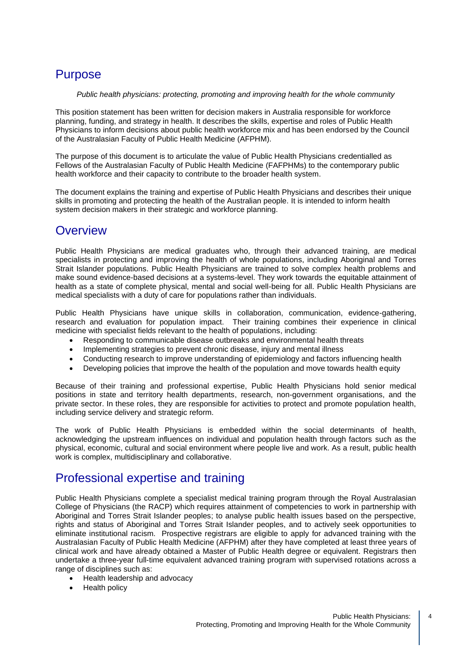# **Purpose**

*Public health physicians: protecting, promoting and improving health for the whole community*

This position statement has been written for decision makers in Australia responsible for workforce planning, funding, and strategy in health. It describes the skills, expertise and roles of Public Health Physicians to inform decisions about public health workforce mix and has been endorsed by the Council of the Australasian Faculty of Public Health Medicine (AFPHM).

The purpose of this document is to articulate the value of Public Health Physicians credentialled as Fellows of the Australasian Faculty of Public Health Medicine (FAFPHMs) to the contemporary public health workforce and their capacity to contribute to the broader health system.

The document explains the training and expertise of Public Health Physicians and describes their unique skills in promoting and protecting the health of the Australian people. It is intended to inform health system decision makers in their strategic and workforce planning.

## **Overview**

Public Health Physicians are medical graduates who, through their advanced training, are medical specialists in protecting and improving the health of whole populations, including Aboriginal and Torres Strait Islander populations. Public Health Physicians are trained to solve complex health problems and make sound evidence-based decisions at a systems-level. They work towards the equitable attainment of health as a state of complete physical, mental and social well-being for all. Public Health Physicians are medical specialists with a duty of care for populations rather than individuals.

Public Health Physicians have unique skills in collaboration, communication, evidence-gathering, research and evaluation for population impact. Their training combines their experience in clinical medicine with specialist fields relevant to the health of populations, including:

- Responding to communicable disease outbreaks and environmental health threats
- Implementing strategies to prevent chronic disease, injury and mental illness
- Conducting research to improve understanding of epidemiology and factors influencing health
- Developing policies that improve the health of the population and move towards health equity

Because of their training and professional expertise, Public Health Physicians hold senior medical positions in state and territory health departments, research, non-government organisations, and the private sector. In these roles, they are responsible for activities to protect and promote population health, including service delivery and strategic reform.

The work of Public Health Physicians is embedded within the social determinants of health, acknowledging the upstream influences on individual and population health through factors such as the physical, economic, cultural and social environment where people live and work. As a result, public health work is complex, multidisciplinary and collaborative.

# Professional expertise and training

Public Health Physicians complete a specialist medical training program through the Royal Australasian College of Physicians (the RACP) which requires attainment of competencies to work in partnership with Aboriginal and Torres Strait Islander peoples; to analyse public health issues based on the perspective, rights and status of Aboriginal and Torres Strait Islander peoples, and to actively seek opportunities to eliminate institutional racism. Prospective registrars are eligible to apply for advanced training with the Australasian Faculty of Public Health Medicine (AFPHM) after they have completed at least three years of clinical work and have already obtained a Master of Public Health degree or equivalent. Registrars then undertake a three-year full-time equivalent advanced training program with supervised rotations across a range of disciplines such as:

- Health leadership and advocacy
- Health policy

4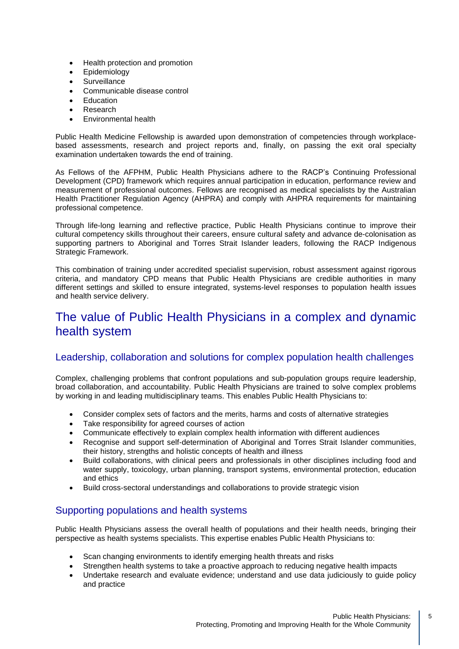- Health protection and promotion
- **Epidemiology**
- Surveillance
- Communicable disease control
- **Fducation**
- Research
- Environmental health

Public Health Medicine Fellowship is awarded upon demonstration of competencies through workplacebased assessments, research and project reports and, finally, on passing the exit oral specialty examination undertaken towards the end of training.

As Fellows of the AFPHM, Public Health Physicians adhere to the RACP's Continuing Professional Development (CPD) framework which requires annual participation in education, performance review and measurement of professional outcomes. Fellows are recognised as medical specialists by the Australian Health Practitioner Regulation Agency (AHPRA) and comply with AHPRA requirements for maintaining professional competence.

Through life-long learning and reflective practice, Public Health Physicians continue to improve their cultural competency skills throughout their careers, ensure cultural safety and advance de-colonisation as supporting partners to Aboriginal and Torres Strait Islander leaders, following the RACP Indigenous Strategic Framework.

This combination of training under accredited specialist supervision, robust assessment against rigorous criteria, and mandatory CPD means that Public Health Physicians are credible authorities in many different settings and skilled to ensure integrated, systems-level responses to population health issues and health service delivery.

## The value of Public Health Physicians in a complex and dynamic health system

### Leadership, collaboration and solutions for complex population health challenges

Complex, challenging problems that confront populations and sub-population groups require leadership, broad collaboration, and accountability. Public Health Physicians are trained to solve complex problems by working in and leading multidisciplinary teams. This enables Public Health Physicians to:

- Consider complex sets of factors and the merits, harms and costs of alternative strategies
- Take responsibility for agreed courses of action
- Communicate effectively to explain complex health information with different audiences
- Recognise and support self-determination of Aboriginal and Torres Strait Islander communities, their history, strengths and holistic concepts of health and illness
- Build collaborations, with clinical peers and professionals in other disciplines including food and water supply, toxicology, urban planning, transport systems, environmental protection, education and ethics
- Build cross-sectoral understandings and collaborations to provide strategic vision

### Supporting populations and health systems

Public Health Physicians assess the overall health of populations and their health needs, bringing their perspective as health systems specialists. This expertise enables Public Health Physicians to:

- Scan changing environments to identify emerging health threats and risks
- Strengthen health systems to take a proactive approach to reducing negative health impacts
- Undertake research and evaluate evidence; understand and use data judiciously to guide policy and practice

5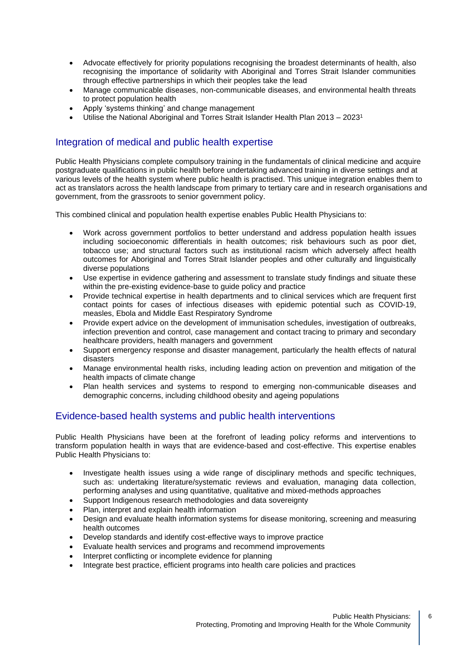- Advocate effectively for priority populations recognising the broadest determinants of health, also recognising the importance of solidarity with Aboriginal and Torres Strait Islander communities through effective partnerships in which their peoples take the lead
- Manage communicable diseases, non-communicable diseases, and environmental health threats to protect population health
- Apply 'systems thinking' and change management
- Utilise the National Aboriginal and Torres Strait Islander Health Plan 2013 2023<sup>1</sup>

### Integration of medical and public health expertise

Public Health Physicians complete compulsory training in the fundamentals of clinical medicine and acquire postgraduate qualifications in public health before undertaking advanced training in diverse settings and at various levels of the health system where public health is practised. This unique integration enables them to act as translators across the health landscape from primary to tertiary care and in research organisations and government, from the grassroots to senior government policy.

This combined clinical and population health expertise enables Public Health Physicians to:

- Work across government portfolios to better understand and address population health issues including socioeconomic differentials in health outcomes; risk behaviours such as poor diet, tobacco use; and structural factors such as institutional racism which adversely affect health outcomes for Aboriginal and Torres Strait Islander peoples and other culturally and linguistically diverse populations
- Use expertise in evidence gathering and assessment to translate study findings and situate these within the pre-existing evidence-base to guide policy and practice
- Provide technical expertise in health departments and to clinical services which are frequent first contact points for cases of infectious diseases with epidemic potential such as COVID-19, measles, Ebola and Middle East Respiratory Syndrome
- Provide expert advice on the development of immunisation schedules, investigation of outbreaks, infection prevention and control, case management and contact tracing to primary and secondary healthcare providers, health managers and government
- Support emergency response and disaster management, particularly the health effects of natural disasters
- Manage environmental health risks, including leading action on prevention and mitigation of the health impacts of climate change
- Plan health services and systems to respond to emerging non-communicable diseases and demographic concerns, including childhood obesity and ageing populations

### Evidence-based health systems and public health interventions

Public Health Physicians have been at the forefront of leading policy reforms and interventions to transform population health in ways that are evidence-based and cost-effective. This expertise enables Public Health Physicians to:

- Investigate health issues using a wide range of disciplinary methods and specific techniques, such as: undertaking literature/systematic reviews and evaluation, managing data collection, performing analyses and using quantitative, qualitative and mixed-methods approaches
- Support Indigenous research methodologies and data sovereignty
- Plan, interpret and explain health information
- Design and evaluate health information systems for disease monitoring, screening and measuring health outcomes
- Develop standards and identify cost-effective ways to improve practice
- Evaluate health services and programs and recommend improvements
- Interpret conflicting or incomplete evidence for planning
- Integrate best practice, efficient programs into health care policies and practices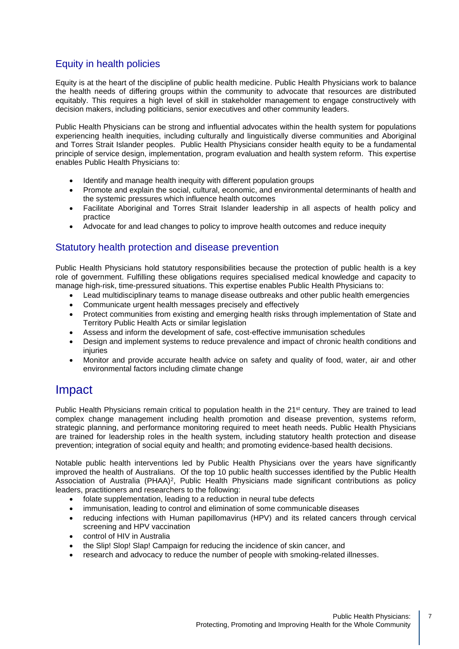## Equity in health policies

Equity is at the heart of the discipline of public health medicine. Public Health Physicians work to balance the health needs of differing groups within the community to advocate that resources are distributed equitably. This requires a high level of skill in stakeholder management to engage constructively with decision makers, including politicians, senior executives and other community leaders.

Public Health Physicians can be strong and influential advocates within the health system for populations experiencing health inequities, including culturally and linguistically diverse communities and Aboriginal and Torres Strait Islander peoples. Public Health Physicians consider health equity to be a fundamental principle of service design, implementation, program evaluation and health system reform. This expertise enables Public Health Physicians to:

- Identify and manage health inequity with different population groups
- Promote and explain the social, cultural, economic, and environmental determinants of health and the systemic pressures which influence health outcomes
- Facilitate Aboriginal and Torres Strait Islander leadership in all aspects of health policy and practice
- Advocate for and lead changes to policy to improve health outcomes and reduce inequity

### Statutory health protection and disease prevention

Public Health Physicians hold statutory responsibilities because the protection of public health is a key role of government. Fulfilling these obligations requires specialised medical knowledge and capacity to manage high-risk, time-pressured situations. This expertise enables Public Health Physicians to:

- Lead multidisciplinary teams to manage disease outbreaks and other public health emergencies
- Communicate urgent health messages precisely and effectively
- Protect communities from existing and emerging health risks through implementation of State and Territory Public Health Acts or similar legislation
- Assess and inform the development of safe, cost-effective immunisation schedules
- Design and implement systems to reduce prevalence and impact of chronic health conditions and injuries
- Monitor and provide accurate health advice on safety and quality of food, water, air and other environmental factors including climate change

## Impact

Public Health Physicians remain critical to population health in the 21<sup>st</sup> century. They are trained to lead complex change management including health promotion and disease prevention, systems reform, strategic planning, and performance monitoring required to meet heath needs. Public Health Physicians are trained for leadership roles in the health system, including statutory health protection and disease prevention; integration of social equity and health; and promoting evidence-based health decisions.

Notable public health interventions led by Public Health Physicians over the years have significantly improved the health of Australians. Of the top 10 public health successes identified by the Public Health Association of Australia (PHAA)<sup>2</sup>, Public Health Physicians made significant contributions as policy leaders, practitioners and researchers to the following:

- folate supplementation, leading to a reduction in neural tube defects
- immunisation, leading to control and elimination of some communicable diseases
- reducing infections with Human papillomavirus (HPV) and its related cancers through cervical screening and HPV vaccination
- control of HIV in Australia
- the Slip! Slop! Slap! Campaign for reducing the incidence of skin cancer, and
- research and advocacy to reduce the number of people with smoking-related illnesses.